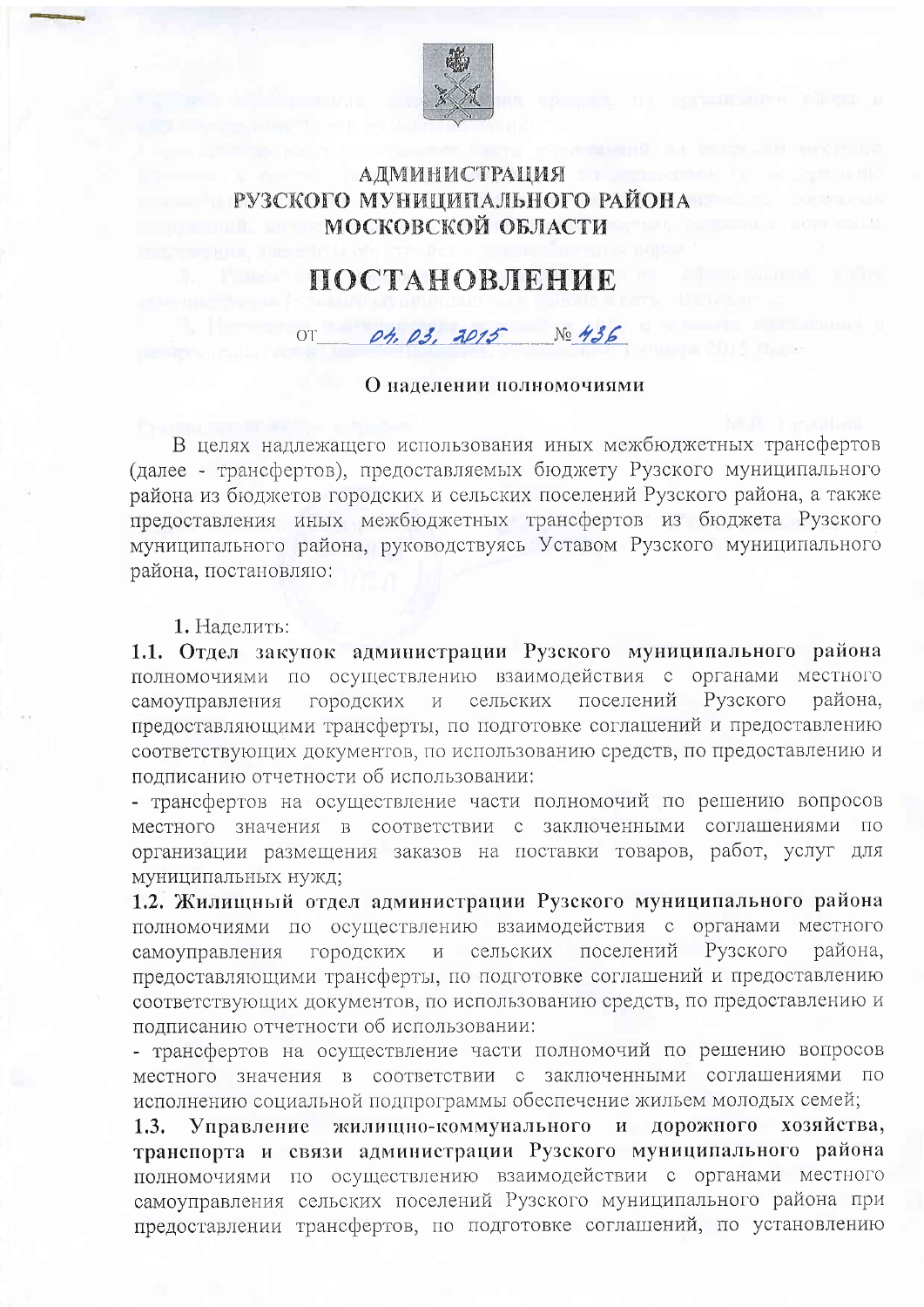

## **АДМИНИСТРАЦИЯ** РУЗСКОГО МУНИЦИПАЛЬНОГО РАЙОНА МОСКОВСКОЙ ОБЛАСТИ

## ПОСТАНОВЛЕНИЕ

## $\overline{O}T$ 04.03.2015  $N<sub>0</sub>$  436

## О наделении полномочиями

В целях надлежащего использования иных межбюджетных трансфертов (далее - трансфертов), предоставляемых бюджету Рузского муниципального района из бюджетов городских и сельских поселений Рузского района, а также предоставления иных межбюджетных трансфертов из бюджета Рузского муниципального района, руководствуясь Уставом Рузского муниципального района, постановляю:

1. Наделить:

1.1. Отдел закупок администрации Рузского муниципального района полномочиями по осуществлению взаимодействия с органами местного поселений Рузского района, самоуправления городских  $\,$  M сельских предоставляющими трансферты, по подготовке соглашений и предоставлению соответствующих документов, по использованию средств, по предоставлению и подписанию отчетности об использовании:

- трансфертов на осуществление части полномочий по решению вопросов местного значения в соответствии с заключенными соглашениями по организации размещения заказов на поставки товаров, работ, услуг для муниципальных нужд;

1.2. Жилищный отдел администрации Рузского муниципального района полномочиями по осуществлению взаимодействия с органами местного поселений Рузского района, городских сельских самоуправления  $\rm{M}$ предоставляющими трансферты, по подготовке соглашений и предоставлению соответствующих документов, по использованию средств, по предоставлению и подписанию отчетности об использовании:

- трансфертов на осуществление части полномочий по решению вопросов местного значения в соответствии с заключенными соглашениями по исполнению социальной подпрограммы обеспечение жильем молодых семей;

Управление жилищно-коммунального и дорожного хозяйства,  $1.3.$ транспорта и связи администрации Рузского муниципального района полномочиями по осуществлению взаимодействии с органами местного самоуправления сельских поселений Рузского муниципального района при предоставлении трансфертов, по подготовке соглашений, по установлению